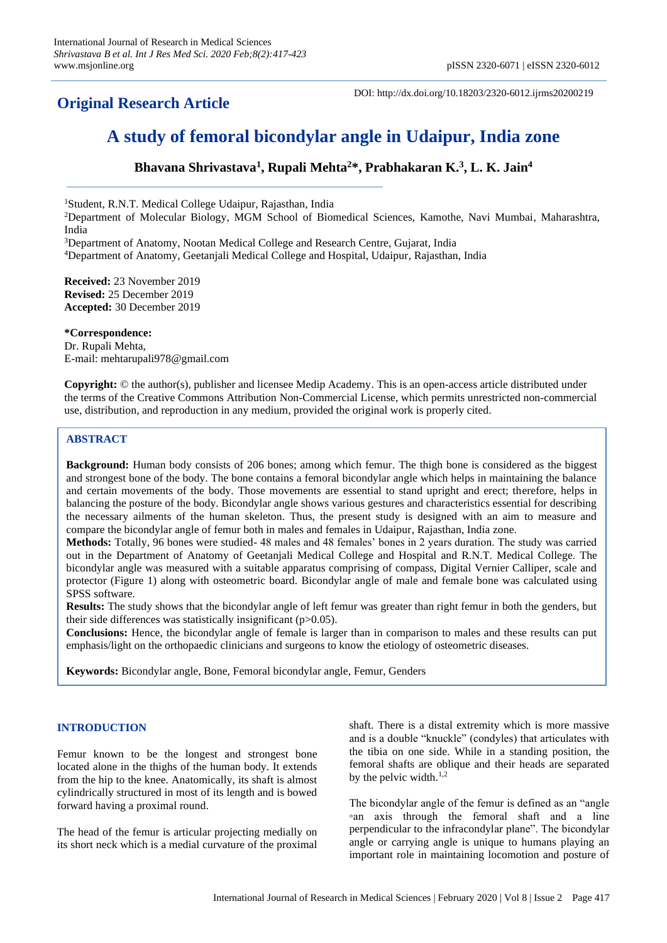# **Original Research Article**

DOI: http://dx.doi.org/10.18203/2320-6012.ijrms20200219

# **A study of femoral bicondylar angle in Udaipur, India zone**

# **Bhavana Shrivastava<sup>1</sup> , Rupali Mehta<sup>2</sup>\*, Prabhakaran K.<sup>3</sup> , L. K. Jain<sup>4</sup>**

<sup>1</sup>Student, R.N.T. Medical College Udaipur, Rajasthan, India

<sup>2</sup>Department of Molecular Biology, MGM School of Biomedical Sciences, Kamothe, Navi Mumbai, Maharashtra, India

<sup>3</sup>Department of Anatomy, Nootan Medical College and Research Centre, Gujarat, India <sup>4</sup>Department of Anatomy, Geetanjali Medical College and Hospital, Udaipur, Rajasthan, India

**Received:** 23 November 2019 **Revised:** 25 December 2019 **Accepted:** 30 December 2019

**\*Correspondence:** Dr. Rupali Mehta, E-mail: mehtarupali978@gmail.com

**Copyright:** © the author(s), publisher and licensee Medip Academy. This is an open-access article distributed under the terms of the Creative Commons Attribution Non-Commercial License, which permits unrestricted non-commercial use, distribution, and reproduction in any medium, provided the original work is properly cited.

# **ABSTRACT**

**Background:** Human body consists of 206 bones; among which femur. The thigh bone is considered as the biggest and strongest bone of the body. The bone contains a femoral bicondylar angle which helps in maintaining the balance and certain movements of the body. Those movements are essential to stand upright and erect; therefore, helps in balancing the posture of the body. Bicondylar angle shows various gestures and characteristics essential for describing the necessary ailments of the human skeleton. Thus, the present study is designed with an aim to measure and compare the bicondylar angle of femur both in males and females in Udaipur, Rajasthan, India zone.

**Methods:** Totally, 96 bones were studied- 48 males and 48 females' bones in 2 years duration. The study was carried out in the Department of Anatomy of Geetanjali Medical College and Hospital and R.N.T. Medical College. The bicondylar angle was measured with a suitable apparatus comprising of compass, Digital Vernier Calliper, scale and protector (Figure 1) along with osteometric board. Bicondylar angle of male and female bone was calculated using SPSS software.

**Results:** The study shows that the bicondylar angle of left femur was greater than right femur in both the genders, but their side differences was statistically insignificant  $(p>0.05)$ .

**Conclusions:** Hence, the bicondylar angle of female is larger than in comparison to males and these results can put emphasis/light on the orthopaedic clinicians and surgeons to know the etiology of osteometric diseases.

**Keywords:** Bicondylar angle, Bone, Femoral bicondylar angle, Femur, Genders

# **INTRODUCTION**

Femur known to be the longest and strongest bone located alone in the thighs of the human body. It extends from the hip to the knee. Anatomically, its shaft is almost cylindrically structured in most of its length and is bowed forward having a proximal round.

The head of the femur is articular projecting medially on its short neck which is a medial curvature of the proximal shaft. There is a distal extremity which is more massive and is a double "knuckle" (condyles) that articulates with the tibia on one side. While in a standing position, the femoral shafts are oblique and their heads are separated by the pelvic width.<sup>1,2</sup>

The bicondylar angle of the femur is defined as an "angle ◦an axis through the femoral shaft and a line perpendicular to the infracondylar plane". The bicondylar angle or carrying angle is unique to humans playing an important role in maintaining locomotion and posture of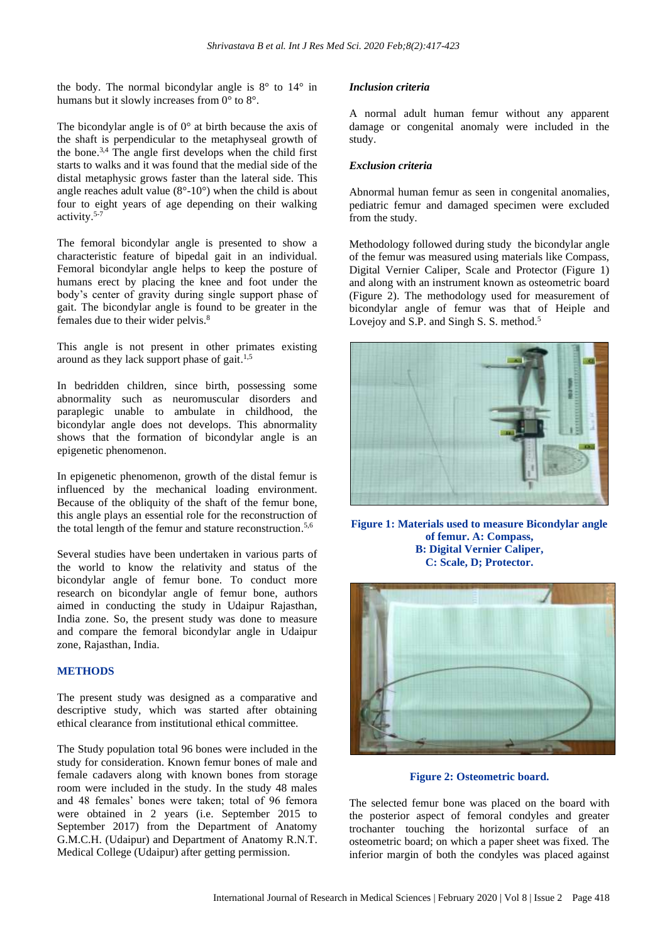the body. The normal bicondylar angle is  $8^\circ$  to  $14^\circ$  in humans but it slowly increases from 0° to 8°.

The bicondylar angle is of  $0^{\circ}$  at birth because the axis of the shaft is perpendicular to the metaphyseal growth of the bone.<sup>3,4</sup> The angle first develops when the child first starts to walks and it was found that the medial side of the distal metaphysic grows faster than the lateral side. This angle reaches adult value  $(8^{\circ} - 10^{\circ})$  when the child is about four to eight years of age depending on their walking activity. 5-7

The femoral bicondylar angle is presented to show a characteristic feature of bipedal gait in an individual. Femoral bicondylar angle helps to keep the posture of humans erect by placing the knee and foot under the body's center of gravity during single support phase of gait. The bicondylar angle is found to be greater in the females due to their wider pelvis. 8

This angle is not present in other primates existing around as they lack support phase of gait. 1,5

In bedridden children, since birth, possessing some abnormality such as neuromuscular disorders and paraplegic unable to ambulate in childhood, the bicondylar angle does not develops. This abnormality shows that the formation of bicondylar angle is an epigenetic phenomenon.

In epigenetic phenomenon, growth of the distal femur is influenced by the mechanical loading environment. Because of the obliquity of the shaft of the femur bone, this angle plays an essential role for the reconstruction of the total length of the femur and stature reconstruction.<sup>5,6</sup>

Several studies have been undertaken in various parts of the world to know the relativity and status of the bicondylar angle of femur bone. To conduct more research on bicondylar angle of femur bone, authors aimed in conducting the study in Udaipur Rajasthan, India zone. So, the present study was done to measure and compare the femoral bicondylar angle in Udaipur zone, Rajasthan, India.

# **METHODS**

The present study was designed as a comparative and descriptive study, which was started after obtaining ethical clearance from institutional ethical committee.

The Study population total 96 bones were included in the study for consideration. Known femur bones of male and female cadavers along with known bones from storage room were included in the study. In the study 48 males and 48 females' bones were taken; total of 96 femora were obtained in 2 years (i.e. September 2015 to September 2017) from the Department of Anatomy G.M.C.H. (Udaipur) and Department of Anatomy R.N.T. Medical College (Udaipur) after getting permission.

#### *Inclusion criteria*

A normal adult human femur without any apparent damage or congenital anomaly were included in the study.

#### *Exclusion criteria*

Abnormal human femur as seen in congenital anomalies, pediatric femur and damaged specimen were excluded from the study.

Methodology followed during study the bicondylar angle of the femur was measured using materials like Compass, Digital Vernier Caliper, Scale and Protector (Figure 1) and along with an instrument known as osteometric board (Figure 2). The methodology used for measurement of bicondylar angle of femur was that of Heiple and Lovejoy and S.P. and Singh S. S. method.<sup>5</sup>



**Figure 1: Materials used to measure Bicondylar angle of femur. A: Compass, B: Digital Vernier Caliper, C: Scale, D; Protector.**



#### **Figure 2: Osteometric board.**

The selected femur bone was placed on the board with the posterior aspect of femoral condyles and greater trochanter touching the horizontal surface of an osteometric board; on which a paper sheet was fixed. The inferior margin of both the condyles was placed against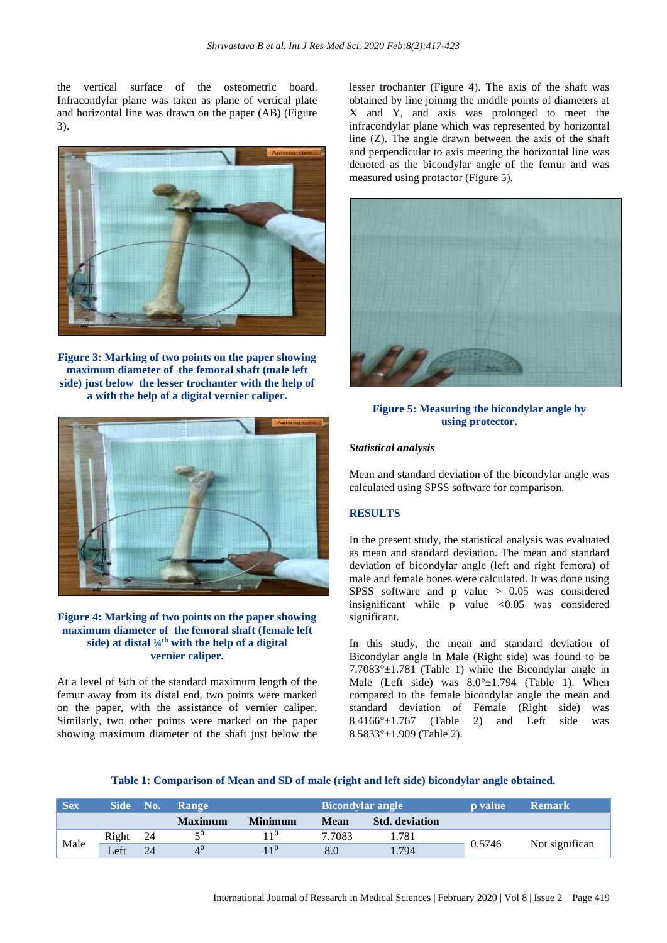the vertical surface of the osteometric board. Infracondylar plane was taken as plane of vertical plate and horizontal line was drawn on the paper (AB) (Figure 3).



**Figure 3: Marking of two points on the paper showing maximum diameter of the femoral shaft (male left side) just below the lesser trochanter with the help of a with the help of a digital vernier caliper.**



## **Figure 4: Marking of two points on the paper showing maximum diameter of the femoral shaft (female left side) at distal ¼th with the help of a digital vernier caliper.**

At a level of ¼th of the standard maximum length of the femur away from its distal end, two points were marked on the paper, with the assistance of vernier caliper. Similarly, two other points were marked on the paper showing maximum diameter of the shaft just below the lesser trochanter (Figure 4). The axis of the shaft was obtained by line joining the middle points of diameters at X and Y, and axis was prolonged to meet the infracondylar plane which was represented by horizontal line (Z). The angle drawn between the axis of the shaft and perpendicular to axis meeting the horizontal line was denoted as the bicondylar angle of the femur and was measured using protactor (Figure 5).



## **Figure 5: Measuring the bicondylar angle by using protector.**

#### *Statistical analysis*

Mean and standard deviation of the bicondylar angle was calculated using SPSS software for comparison.

#### **RESULTS**

In the present study, the statistical analysis was evaluated as mean and standard deviation. The mean and standard deviation of bicondylar angle (left and right femora) of male and female bones were calculated. It was done using SPSS software and p value > 0.05 was considered insignificant while  $p$  value <0.05 was considered significant.

In this study, the mean and standard deviation of Bicondylar angle in Male (Right side) was found to be  $7.7083^{\circ} \pm 1.781$  (Table 1) while the Bicondylar angle in Male (Left side) was  $8.0^{\circ} \pm 1.794$  (Table 1). When compared to the female bicondylar angle the mean and standard deviation of Female (Right side) was  $8.4166^\circ \pm 1.767$  (Table 2) and Left side was 8.5833°±1.909 (Table 2).

# **Table 1: Comparison of Mean and SD of male (right and left side) bicondylar angle obtained.**

| <b>Sex</b> | <b>Side</b>      | No. | <b>Bicondylar angle</b><br><b>Range</b> |                |        | <b>p</b> value        | <b>Remark</b> |                |
|------------|------------------|-----|-----------------------------------------|----------------|--------|-----------------------|---------------|----------------|
|            |                  |     | <b>Maximum</b>                          | <b>Minimum</b> | Mean   | <b>Std.</b> deviation |               |                |
| Male       | Right            | -24 | $\epsilon$ <sup>0</sup>                 | 110            | 7.7083 | 1.781                 |               | Not significan |
|            | $\mathsf{Left}'$ | 24  | 4 <sup>0</sup>                          | 110            | 8.0    | 1.794                 | 0.5746        |                |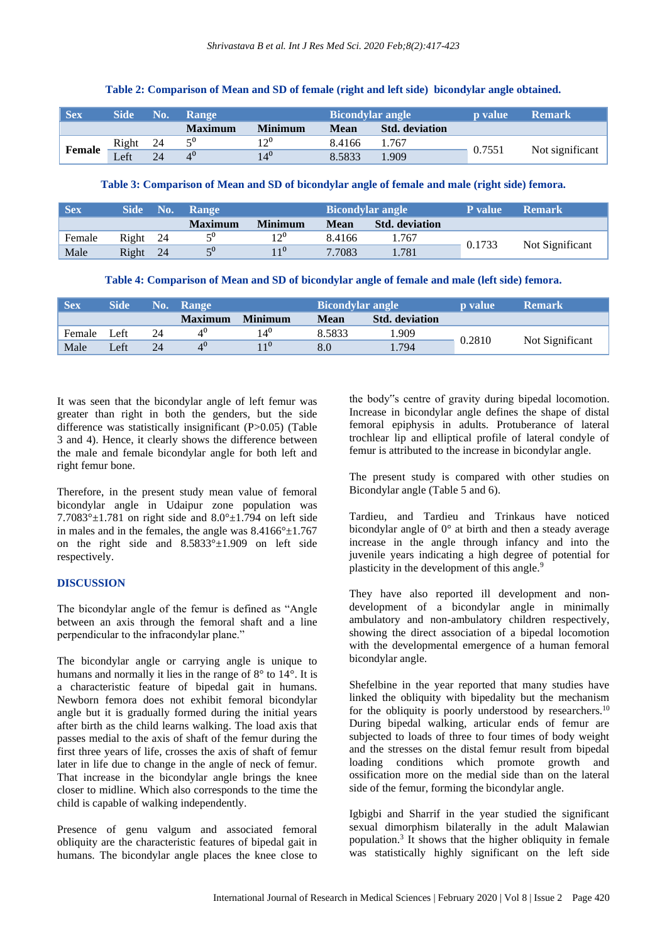| <b>Sex</b> | <b>Side</b>       | No. | <b>Bicondylar angle</b><br><b>Range</b> |                |             | <b>p</b> value        | <b>Remark</b> |                 |
|------------|-------------------|-----|-----------------------------------------|----------------|-------------|-----------------------|---------------|-----------------|
|            |                   |     | <b>Maximum</b>                          | <b>Minimum</b> | <b>Mean</b> | <b>Std.</b> deviation |               |                 |
| Female     | Right             | -24 | $5^0$                                   | 1,00           | 8.4166      | 1.767                 | 0.7551        | Not significant |
|            | $\mathcal{L}$ eft | 24  |                                         | $14^0$         | 8.5833      | 1.909                 |               |                 |

#### **Table 2: Comparison of Mean and SD of female (right and left side) bicondylar angle obtained.**

#### **Table 3: Comparison of Mean and SD of bicondylar angle of female and male (right side) femora.**

| <b>Sex</b> | <b>Side</b> | No. | <b>Range</b>            |                | <b>Bicondylar angle</b> |                       | <b>P</b> value | <b>Remark</b>   |
|------------|-------------|-----|-------------------------|----------------|-------------------------|-----------------------|----------------|-----------------|
|            |             |     | <b>Maximum</b>          | <b>Minimum</b> | Mean                    | <b>Std.</b> deviation |                |                 |
| Female     | Right 24    |     | $\epsilon$ <sup>0</sup> | 120            | 8.4166                  | 1.767                 |                |                 |
| Male       | Right 24    |     | $\epsilon$ <sup>0</sup> | $11^0$         | 7.7083                  | .781                  | 0.1733         | Not Significant |

| Table 4: Comparison of Mean and SD of bicondylar angle of female and male (left side) femora. |  |  |
|-----------------------------------------------------------------------------------------------|--|--|
|                                                                                               |  |  |

| <b>Sex</b> | Side | No. | <b>Range</b>   |                 |        | <b>Bicondylar angle</b> |        | <b>Remark</b>   |
|------------|------|-----|----------------|-----------------|--------|-------------------------|--------|-----------------|
|            |      |     | <b>Maximum</b> | <b>Minimum</b>  | Mean   | <b>Std.</b> deviation   |        |                 |
| Female     | Left | 24  |                | 14 <sup>0</sup> | 8.5833 | .909                    | 0.2810 |                 |
| Male       | Left | 24  | $4^0$          | $\overline{1}0$ | 8.0    | 1.794                   |        | Not Significant |

It was seen that the bicondylar angle of left femur was greater than right in both the genders, but the side difference was statistically insignificant (P>0.05) (Table 3 and 4). Hence, it clearly shows the difference between the male and female bicondylar angle for both left and right femur bone.

Therefore, in the present study mean value of femoral bicondylar angle in Udaipur zone population was 7.7083° $\pm$ 1.781 on right side and 8.0° $\pm$ 1.794 on left side in males and in the females, the angle was  $8.4166^{\circ} \pm 1.767$ on the right side and  $8.5833^{\circ} \pm 1.909$  on left side respectively.

#### **DISCUSSION**

The bicondylar angle of the femur is defined as "Angle between an axis through the femoral shaft and a line perpendicular to the infracondylar plane."

The bicondylar angle or carrying angle is unique to humans and normally it lies in the range of 8° to 14°. It is a characteristic feature of bipedal gait in humans. Newborn femora does not exhibit femoral bicondylar angle but it is gradually formed during the initial years after birth as the child learns walking. The load axis that passes medial to the axis of shaft of the femur during the first three years of life, crosses the axis of shaft of femur later in life due to change in the angle of neck of femur. That increase in the bicondylar angle brings the knee closer to midline. Which also corresponds to the time the child is capable of walking independently.

Presence of genu valgum and associated femoral obliquity are the characteristic features of bipedal gait in humans. The bicondylar angle places the knee close to

the body"s centre of gravity during bipedal locomotion. Increase in bicondylar angle defines the shape of distal femoral epiphysis in adults. Protuberance of lateral trochlear lip and elliptical profile of lateral condyle of femur is attributed to the increase in bicondylar angle.

The present study is compared with other studies on Bicondylar angle (Table 5 and 6).

Tardieu, and Tardieu and Trinkaus have noticed bicondylar angle of 0° at birth and then a steady average increase in the angle through infancy and into the juvenile years indicating a high degree of potential for plasticity in the development of this angle.<sup>9</sup>

They have also reported ill development and nondevelopment of a bicondylar angle in minimally ambulatory and non-ambulatory children respectively, showing the direct association of a bipedal locomotion with the developmental emergence of a human femoral bicondylar angle.

Shefelbine in the year reported that many studies have linked the obliquity with bipedality but the mechanism for the obliquity is poorly understood by researchers.<sup>10</sup> During bipedal walking, articular ends of femur are subjected to loads of three to four times of body weight and the stresses on the distal femur result from bipedal loading conditions which promote growth and ossification more on the medial side than on the lateral side of the femur, forming the bicondylar angle.

Igbigbi and Sharrif in the year studied the significant sexual dimorphism bilaterally in the adult Malawian population.<sup>3</sup> It shows that the higher obliquity in female was statistically highly significant on the left side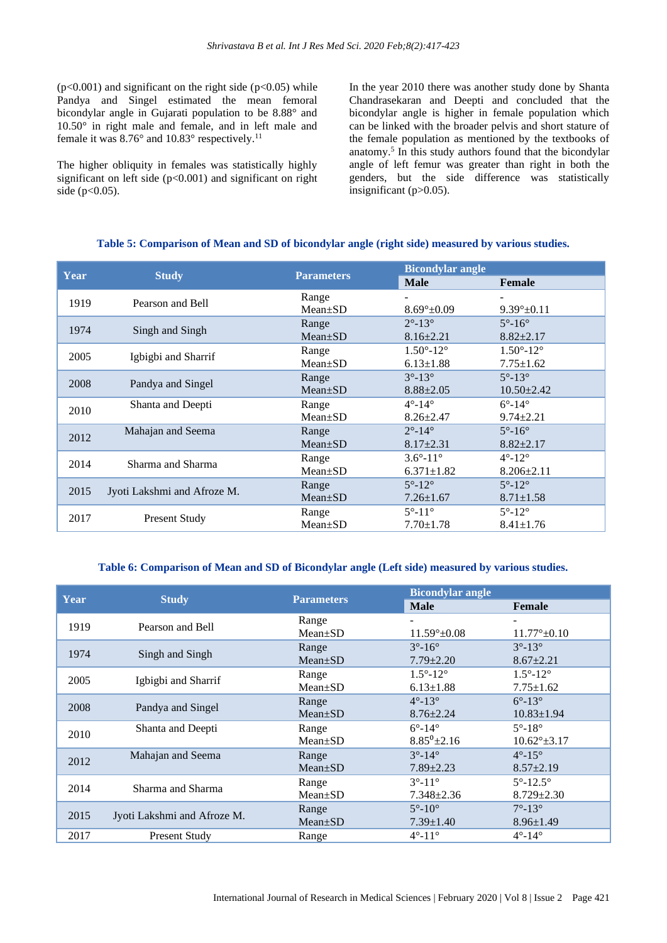$(p<0.001)$  and significant on the right side  $(p<0.05)$  while Pandya and Singel estimated the mean femoral bicondylar angle in Gujarati population to be 8.88° and 10.50° in right male and female, and in left male and female it was 8.76° and 10.83° respectively.<sup>11</sup>

The higher obliquity in females was statistically highly significant on left side  $(p<0.001)$  and significant on right side ( $p < 0.05$ ).

In the year 2010 there was another study done by Shanta Chandrasekaran and Deepti and concluded that the bicondylar angle is higher in female population which can be linked with the broader pelvis and short stature of the female population as mentioned by the textbooks of anatomy.<sup>5</sup> In this study authors found that the bicondylar angle of left femur was greater than right in both the genders, but the side difference was statistically insignificant (p>0.05).

| Year |                             | <b>Parameters</b> | <b>Bicondylar angle</b>     |                             |
|------|-----------------------------|-------------------|-----------------------------|-----------------------------|
|      | <b>Study</b>                |                   | <b>Male</b>                 | Female                      |
| 1919 | Pearson and Bell            | Range             |                             |                             |
|      |                             | $Mean \pm SD$     | $8.69^{\circ} \pm 0.09$     | $9.39^{\circ}$ ±0.11        |
|      |                             | Range             | $2^{\circ} - 13^{\circ}$    | $5^\circ - 16^\circ$        |
| 1974 | Singh and Singh             | $Mean \pm SD$     | $8.16 \pm 2.21$             | $8.82 \pm 2.17$             |
|      | Igbigbi and Sharrif         | Range             | $1.50^{\circ} - 12^{\circ}$ | $1.50^{\circ} - 12^{\circ}$ |
| 2005 |                             | $Mean \pm SD$     | $6.13 \pm 1.88$             | $7.75 \pm 1.62$             |
| 2008 |                             | Range             | $3^{\circ} - 13^{\circ}$    | $5^{\circ} - 13^{\circ}$    |
|      | Pandya and Singel           | $Mean \pm SD$     | $8.88 \pm 2.05$             | $10.50 \pm 2.42$            |
| 2010 | Shanta and Deepti           | Range             | $4^\circ - 14^\circ$        | $6^\circ - 14^\circ$        |
|      |                             | $Mean \pm SD$     | $8.26 \pm 2.47$             | $9.74 \pm 2.21$             |
| 2012 | Mahajan and Seema           | Range             | $2^{\circ}$ -14 $^{\circ}$  | $5^\circ - 16^\circ$        |
|      |                             | $Mean \pm SD$     | $8.17 \pm 2.31$             | $8.82 + 2.17$               |
| 2014 | Sharma and Sharma           | Range             | $3.6^{\circ} - 11^{\circ}$  | $4^\circ - 12^\circ$        |
|      |                             | $Mean \pm SD$     | $6.371 \pm 1.82$            | $8.206 \pm 2.11$            |
| 2015 |                             | Range             | $5^{\circ} - 12^{\circ}$    | $5^\circ - 12^\circ$        |
|      | Jyoti Lakshmi and Afroze M. | $Mean \pm SD$     | $7.26 \pm 1.67$             | $8.71 \pm 1.58$             |
|      |                             | Range             | $5^{\circ}$ -11 $^{\circ}$  | $5^{\circ}$ -12 $^{\circ}$  |
| 2017 | <b>Present Study</b>        | $Mean \pm SD$     | $7.70 \pm 1.78$             | $8.41 \pm 1.76$             |

#### **Table 5: Comparison of Mean and SD of bicondylar angle (right side) measured by various studies.**

#### **Table 6: Comparison of Mean and SD of Bicondylar angle (Left side) measured by various studies.**

| Year |                             | <b>Parameters</b> |                            | <b>Bicondylar angle</b>    |  |  |
|------|-----------------------------|-------------------|----------------------------|----------------------------|--|--|
|      | <b>Study</b>                |                   | <b>Male</b>                | Female                     |  |  |
| 1919 | Pearson and Bell            | Range             |                            |                            |  |  |
|      |                             | $Mean \pm SD$     | $11.59^{\circ}$ ± 0.08     | $11.77^{\circ}$ ±0.10      |  |  |
| 1974 |                             | Range             | $3^{\circ} - 16^{\circ}$   | $3^{\circ} - 13^{\circ}$   |  |  |
|      | Singh and Singh             | $Mean+SD$         | $7.79 \pm 2.20$            | $8.67 \pm 2.21$            |  |  |
| 2005 |                             | Range             | $1.5^{\circ} - 12^{\circ}$ | $1.5^{\circ} - 12^{\circ}$ |  |  |
|      | Igbigbi and Sharrif         | $Mean \pm SD$     | $6.13 \pm 1.88$            | $7.75 \pm 1.62$            |  |  |
|      |                             | Range             | $4^\circ-13^\circ$         | $6^\circ-13^\circ$         |  |  |
| 2008 | Pandya and Singel           | $Mean+SD$         | $8.76 \pm 2.24$            | $10.83 \pm 1.94$           |  |  |
| 2010 | Shanta and Deepti           | Range             | $6^\circ - 14^\circ$       | $5^\circ - 18^\circ$       |  |  |
|      |                             | $Mean \pm SD$     | $8.85^{0}$ ± 2.16          | $10.62^{\circ}$ ±3.17      |  |  |
| 2012 | Mahajan and Seema           | Range             | $3^{\circ} - 14^{\circ}$   | $4^\circ-15^\circ$         |  |  |
|      |                             | $Mean \pm SD$     | $7.89 \pm 2.23$            | $8.57 \pm 2.19$            |  |  |
| 2014 | Sharma and Sharma           | Range             | $3^{\circ} - 11^{\circ}$   | $5^{\circ} - 12.5^{\circ}$ |  |  |
|      |                             | $Mean \pm SD$     | $7.348 \pm 2.36$           | $8.729 \pm 2.30$           |  |  |
| 2015 |                             | Range             | $5^\circ - 10^\circ$       | $7^{\circ} - 13^{\circ}$   |  |  |
|      | Jyoti Lakshmi and Afroze M. | $Mean \pm SD$     | $7.39 \pm 1.40$            | $8.96 \pm 1.49$            |  |  |
| 2017 | Present Study               | Range             | $4^{\circ} - 11^{\circ}$   | $4^\circ - 14^\circ$       |  |  |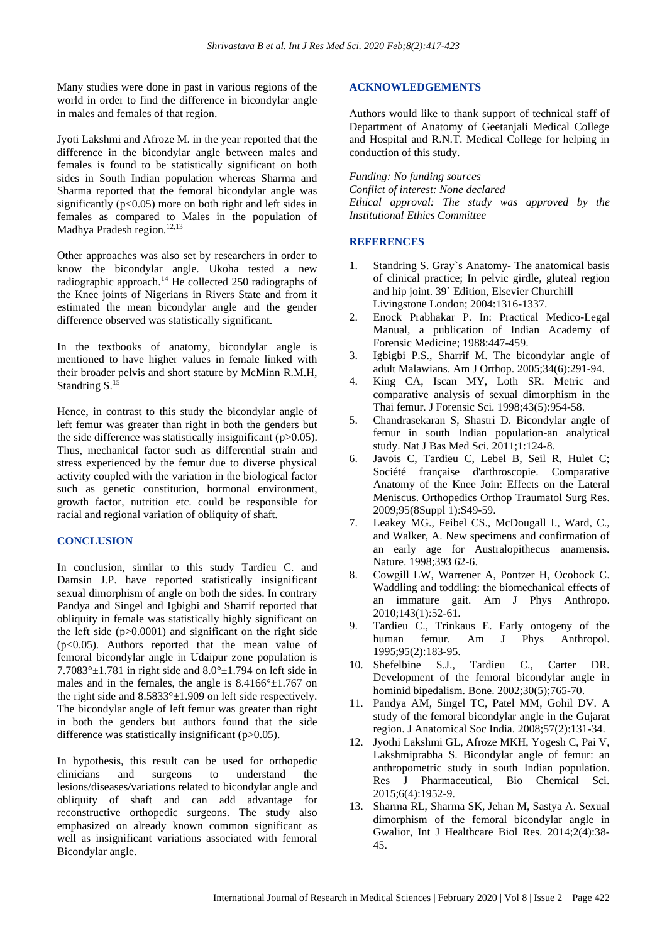Many studies were done in past in various regions of the world in order to find the difference in bicondylar angle in males and females of that region.

Jyoti Lakshmi and Afroze M. in the year reported that the difference in the bicondylar angle between males and females is found to be statistically significant on both sides in South Indian population whereas Sharma and Sharma reported that the femoral bicondylar angle was significantly  $(p<0.05)$  more on both right and left sides in females as compared to Males in the population of Madhya Pradesh region.<sup>12,13</sup>

Other approaches was also set by researchers in order to know the bicondylar angle. Ukoha tested a new radiographic approach.<sup>14</sup> He collected 250 radiographs of the Knee joints of Nigerians in Rivers State and from it estimated the mean bicondylar angle and the gender difference observed was statistically significant.

In the textbooks of anatomy, bicondylar angle is mentioned to have higher values in female linked with their broader pelvis and short stature by McMinn R.M.H, Standring S. 15

Hence, in contrast to this study the bicondylar angle of left femur was greater than right in both the genders but the side difference was statistically insignificant  $(p>0.05)$ . Thus, mechanical factor such as differential strain and stress experienced by the femur due to diverse physical activity coupled with the variation in the biological factor such as genetic constitution, hormonal environment, growth factor, nutrition etc. could be responsible for racial and regional variation of obliquity of shaft.

#### **CONCLUSION**

In conclusion, similar to this study Tardieu C. and Damsin J.P. have reported statistically insignificant sexual dimorphism of angle on both the sides. In contrary Pandya and Singel and Igbigbi and Sharrif reported that obliquity in female was statistically highly significant on the left side  $(p>0.0001)$  and significant on the right side (p<0.05). Authors reported that the mean value of femoral bicondylar angle in Udaipur zone population is 7.7083° $\pm$ 1.781 in right side and 8.0° $\pm$ 1.794 on left side in males and in the females, the angle is  $8.4166^{\circ} \pm 1.767$  on the right side and  $8.5833^{\circ} \pm 1.909$  on left side respectively. The bicondylar angle of left femur was greater than right in both the genders but authors found that the side difference was statistically insignificant (p>0.05).

In hypothesis, this result can be used for orthopedic clinicians and surgeons to understand the lesions/diseases/variations related to bicondylar angle and obliquity of shaft and can add advantage for reconstructive orthopedic surgeons. The study also emphasized on already known common significant as well as insignificant variations associated with femoral Bicondylar angle.

#### **ACKNOWLEDGEMENTS**

Authors would like to thank support of technical staff of Department of Anatomy of Geetanjali Medical College and Hospital and R.N.T. Medical College for helping in conduction of this study.

*Funding: No funding sources Conflict of interest: None declared Ethical approval: The study was approved by the Institutional Ethics Committee*

#### **REFERENCES**

- 1. Standring S. Gray`s Anatomy- The anatomical basis of clinical practice; In pelvic girdle, gluteal region and hip joint. 39` Edition, Elsevier Churchill Livingstone London; 2004:1316-1337.
- 2. Enock Prabhakar P. In: Practical Medico-Legal Manual, a publication of Indian Academy of Forensic Medicine; 1988:447-459.
- 3. Igbigbi P.S., Sharrif M. The bicondylar angle of adult Malawians. Am J Orthop. 2005;34(6):291-94.
- 4. King CA, Iscan MY, Loth SR. Metric and comparative analysis of sexual dimorphism in the Thai femur. J Forensic Sci. 1998;43(5):954-58.
- 5. Chandrasekaran S, Shastri D. Bicondylar angle of femur in south Indian population-an analytical study. Nat J Bas Med Sci. 2011;1:124-8.
- 6. Javois C, Tardieu C, Lebel B, Seil R, Hulet C; Société française d'arthroscopie. Comparative Anatomy of the Knee Join: Effects on the Lateral Meniscus. Orthopedics Orthop Traumatol Surg Res. 2009;95(8Suppl 1):S49-59.
- 7. Leakey MG., Feibel CS., McDougall I., Ward, C., and Walker, A. New specimens and confirmation of an early age for Australopithecus anamensis. Nature. 1998;393 62-6.
- 8. Cowgill LW, Warrener A, Pontzer H, Ocobock C. Waddling and toddling: the biomechanical effects of an immature gait. Am J Phys Anthropo. 2010;143(1):52-61.
- 9. Tardieu C., Trinkaus E. Early ontogeny of the human femur. Am J Phys Anthropol. 1995;95(2):183-95.
- 10. Shefelbine S.J., Tardieu C., Carter DR. Development of the femoral bicondylar angle in hominid bipedalism. Bone. 2002;30(5);765-70.
- 11. Pandya AM, Singel TC, Patel MM, Gohil DV. A study of the femoral bicondylar angle in the Gujarat region. J Anatomical Soc India. 2008;57(2):131-34.
- 12. Jyothi Lakshmi GL, Afroze MKH, Yogesh C, Pai V, Lakshmiprabha S. Bicondylar angle of femur: an anthropometric study in south Indian population. Res J Pharmaceutical, Bio Chemical Sci. 2015;6(4):1952-9.
- 13. Sharma RL, Sharma SK, Jehan M, Sastya A. Sexual dimorphism of the femoral bicondylar angle in Gwalior, Int J Healthcare Biol Res. 2014;2(4):38- 45.